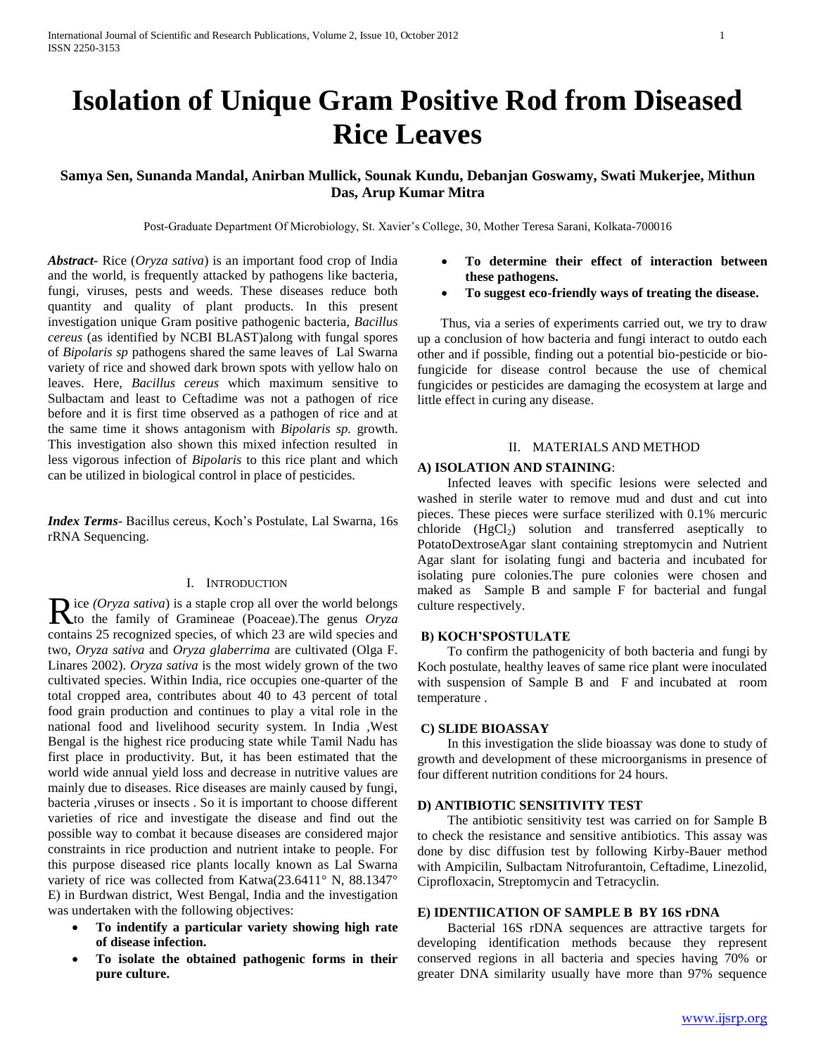## **Isolation of Unique Gram Positive Rod from Diseased Rice Leaves**

## **Samya Sen, Sunanda Mandal, Anirban Mullick, Sounak Kundu, Debanjan Goswamy, Swati Mukerjee, Mithun Das, Arup Kumar Mitra**

Post-Graduate Department Of Microbiology, St. Xavier's College, 30, Mother Teresa Sarani, Kolkata-700016

*Abstract***-** Rice (*Oryza sativa*) is an important food crop of India and the world, is frequently attacked by pathogens like bacteria, fungi, viruses, pests and weeds. These diseases reduce both quantity and quality of plant products. In this present investigation unique Gram positive pathogenic bacteria, *Bacillus cereus* (as identified by NCBI BLAST)along with fungal spores of *Bipolaris sp* pathogens shared the same leaves of Lal Swarna variety of rice and showed dark brown spots with yellow halo on leaves. Here, *Bacillus cereus* which maximum sensitive to Sulbactam and least to Ceftadime was not a pathogen of rice before and it is first time observed as a pathogen of rice and at the same time it shows antagonism with *Bipolaris sp.* growth. This investigation also shown this mixed infection resulted in less vigorous infection of *Bipolaris* to this rice plant and which can be utilized in biological control in place of pesticides.

*Index Terms*- Bacillus cereus, Koch's Postulate, Lal Swarna, 16s rRNA Sequencing.

## I. INTRODUCTION

ice *(Oryza sativa*) is a staple crop all over the world belongs Rice (*Oryza sativa*) is a staple crop all over the world belongs<br>to the family of Gramineae (Poaceae). The genus *Oryza* contains 25 recognized species, of which 23 are wild species and two, *Oryza sativa* and *Oryza glaberrima* are cultivated (Olga F. Linares 2002). *Oryza sativa* is the most widely grown of the two cultivated species. Within India, rice occupies one-quarter of the total cropped area, contributes about 40 to 43 percent of total food grain production and continues to play a vital role in the national food and livelihood security system. In India ,West Bengal is the highest rice producing state while Tamil Nadu has first place in productivity. But, it has been estimated that the world wide annual yield loss and decrease in nutritive values are mainly due to diseases. Rice diseases are mainly caused by fungi, bacteria ,viruses or insects . So it is important to choose different varieties of rice and investigate the disease and find out the possible way to combat it because diseases are considered major constraints in rice production and nutrient intake to people. For this purpose diseased rice plants locally known as Lal Swarna variety of rice was collected from Katwa(23.6411° N, 88.1347° E) in Burdwan district, West Bengal, India and the investigation was undertaken with the following objectives:

- **To indentify a particular variety showing high rate of disease infection.**
- **To isolate the obtained pathogenic forms in their pure culture.**
- **To determine their effect of interaction between these pathogens.**
- **To suggest eco-friendly ways of treating the disease.**

 Thus, via a series of experiments carried out, we try to draw up a conclusion of how bacteria and fungi interact to outdo each other and if possible, finding out a potential bio-pesticide or biofungicide for disease control because the use of chemical fungicides or pesticides are damaging the ecosystem at large and little effect in curing any disease.

## II. MATERIALS AND METHOD

#### **A) ISOLATION AND STAINING**:

 Infected leaves with specific lesions were selected and washed in sterile water to remove mud and dust and cut into pieces. These pieces were surface sterilized with 0.1% mercuric chloride  $(HgCl<sub>2</sub>)$  solution and transferred aseptically to PotatoDextroseAgar slant containing streptomycin and Nutrient Agar slant for isolating fungi and bacteria and incubated for isolating pure colonies.The pure colonies were chosen and maked as Sample B and sample F for bacterial and fungal culture respectively.

## **B) KOCH'SPOSTULATE**

 To confirm the pathogenicity of both bacteria and fungi by Koch postulate, healthy leaves of same rice plant were inoculated with suspension of Sample B and F and incubated at room temperature .

### **C) SLIDE BIOASSAY**

 In this investigation the slide bioassay was done to study of growth and development of these microorganisms in presence of four different nutrition conditions for 24 hours.

## **D) ANTIBIOTIC SENSITIVITY TEST**

 The antibiotic sensitivity test was carried on for Sample B to check the resistance and sensitive antibiotics. This assay was done by disc diffusion test by following Kirby-Bauer method with Ampicilin, Sulbactam Nitrofurantoin, Ceftadime, Linezolid, Ciprofloxacin, Streptomycin and Tetracyclin.

## **E) IDENTIICATION OF SAMPLE B BY 16S rDNA**

 Bacterial 16S rDNA sequences are attractive targets for developing identification methods because they represent conserved regions in all bacteria and species having 70% or greater DNA similarity usually have more than 97% sequence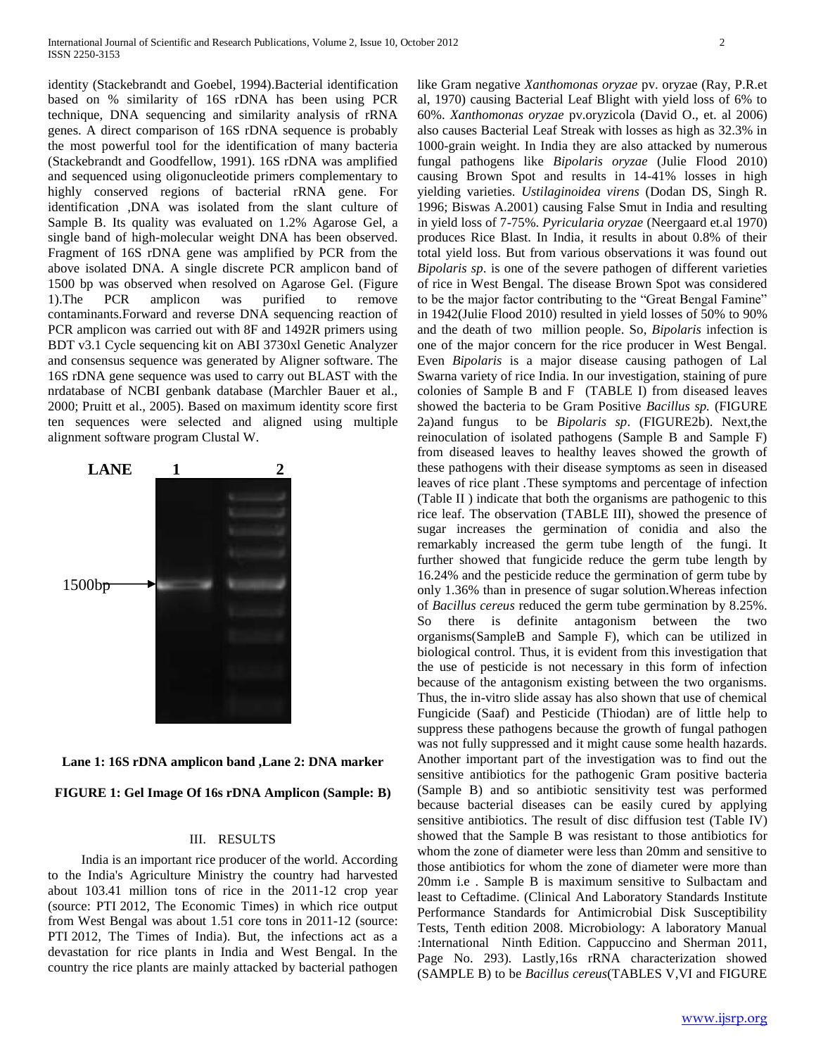identity (Stackebrandt and Goebel, 1994).Bacterial identification based on % similarity of 16S rDNA has been using PCR technique, DNA sequencing and similarity analysis of rRNA genes. A direct comparison of 16S rDNA sequence is probably the most powerful tool for the identification of many bacteria (Stackebrandt and Goodfellow, 1991). 16S rDNA was amplified and sequenced using oligonucleotide primers complementary to highly conserved regions of bacterial rRNA gene. For identification ,DNA was isolated from the slant culture of Sample B. Its quality was evaluated on 1.2% Agarose Gel, a single band of high-molecular weight DNA has been observed. Fragment of 16S rDNA gene was amplified by PCR from the above isolated DNA. A single discrete PCR amplicon band of 1500 bp was observed when resolved on Agarose Gel. (Figure 1).The PCR amplicon was purified to remove contaminants.Forward and reverse DNA sequencing reaction of PCR amplicon was carried out with 8F and 1492R primers using BDT v3.1 Cycle sequencing kit on ABI 3730xl Genetic Analyzer and consensus sequence was generated by Aligner software. The 16S rDNA gene sequence was used to carry out BLAST with the nrdatabase of NCBI genbank database (Marchler Bauer et al., 2000; Pruitt et al., 2005). Based on maximum identity score first ten sequences were selected and aligned using multiple alignment software program Clustal W.





**FIGURE 1: Gel Image Of 16s rDNA Amplicon (Sample: B)**

#### III. RESULTS

 India is an important rice producer of the world. According to the India's Agriculture Ministry the country had harvested about 103.41 million tons of rice in the 2011-12 crop year (source: PTI 2012, The Economic Times) in which rice output from West Bengal was about 1.51 core tons in 2011-12 (source: PTI 2012, The Times of India). But, the infections act as a devastation for rice plants in India and West Bengal. In the country the rice plants are mainly attacked by bacterial pathogen

like Gram negative *Xanthomonas oryzae* pv. oryzae (Ray, P.R.et al, 1970) causing Bacterial Leaf Blight with yield loss of 6% to 60%. *Xanthomonas oryzae* pv.oryzicola (David O., et. al 2006) also causes Bacterial Leaf Streak with losses as high as 32.3% in 1000-grain weight. In India they are also attacked by numerous fungal pathogens like *Bipolaris oryzae* (Julie Flood 2010) causing Brown Spot and results in 14-41% losses in high yielding varieties. *Ustilaginoidea virens* (Dodan DS, Singh R. 1996; Biswas A.2001) causing False Smut in India and resulting in yield loss of 7-75%. *Pyricularia oryzae* (Neergaard et.al 1970) produces Rice Blast. In India, it results in about 0.8% of their total yield loss. But from various observations it was found out *Bipolaris sp*. is one of the severe pathogen of different varieties of rice in West Bengal. The disease Brown Spot was considered to be the major factor contributing to the "Great Bengal Famine" in 1942(Julie Flood 2010) resulted in yield losses of 50% to 90% and the death of two million people. So*, Bipolaris* infection is one of the major concern for the rice producer in West Bengal. Even *Bipolaris* is a major disease causing pathogen of Lal Swarna variety of rice India. In our investigation, staining of pure colonies of Sample B and F (TABLE I) from diseased leaves showed the bacteria to be Gram Positive *Bacillus sp.* (FIGURE 2a)and fungus to be *Bipolaris sp*. (FIGURE2b). Next,the reinoculation of isolated pathogens (Sample B and Sample F) from diseased leaves to healthy leaves showed the growth of these pathogens with their disease symptoms as seen in diseased leaves of rice plant *.*These symptoms and percentage of infection (Table II ) indicate that both the organisms are pathogenic to this rice leaf. The observation (TABLE III), showed the presence of sugar increases the germination of conidia and also the remarkably increased the germ tube length of the fungi. It further showed that fungicide reduce the germ tube length by 16.24% and the pesticide reduce the germination of germ tube by only 1.36% than in presence of sugar solution.Whereas infection of *Bacillus cereus* reduced the germ tube germination by 8.25%. So there is definite antagonism between the two organisms(SampleB and Sample F), which can be utilized in biological control. Thus, it is evident from this investigation that the use of pesticide is not necessary in this form of infection because of the antagonism existing between the two organisms. Thus, the in-vitro slide assay has also shown that use of chemical Fungicide (Saaf) and Pesticide (Thiodan) are of little help to suppress these pathogens because the growth of fungal pathogen was not fully suppressed and it might cause some health hazards. Another important part of the investigation was to find out the sensitive antibiotics for the pathogenic Gram positive bacteria (Sample B) and so antibiotic sensitivity test was performed because bacterial diseases can be easily cured by applying sensitive antibiotics. The result of disc diffusion test (Table IV) showed that the Sample B was resistant to those antibiotics for whom the zone of diameter were less than 20mm and sensitive to those antibiotics for whom the zone of diameter were more than 20mm i.e . Sample B is maximum sensitive to Sulbactam and least to Ceftadime. (Clinical And Laboratory Standards Institute Performance Standards for Antimicrobial Disk Susceptibility Tests, Tenth edition 2008. Microbiology: A laboratory Manual :International Ninth Edition. Cappuccino and Sherman 2011, Page No. 293). Lastly,16s rRNA characterization showed (SAMPLE B) to be *Bacillus cereus*(TABLES V,VI and FIGURE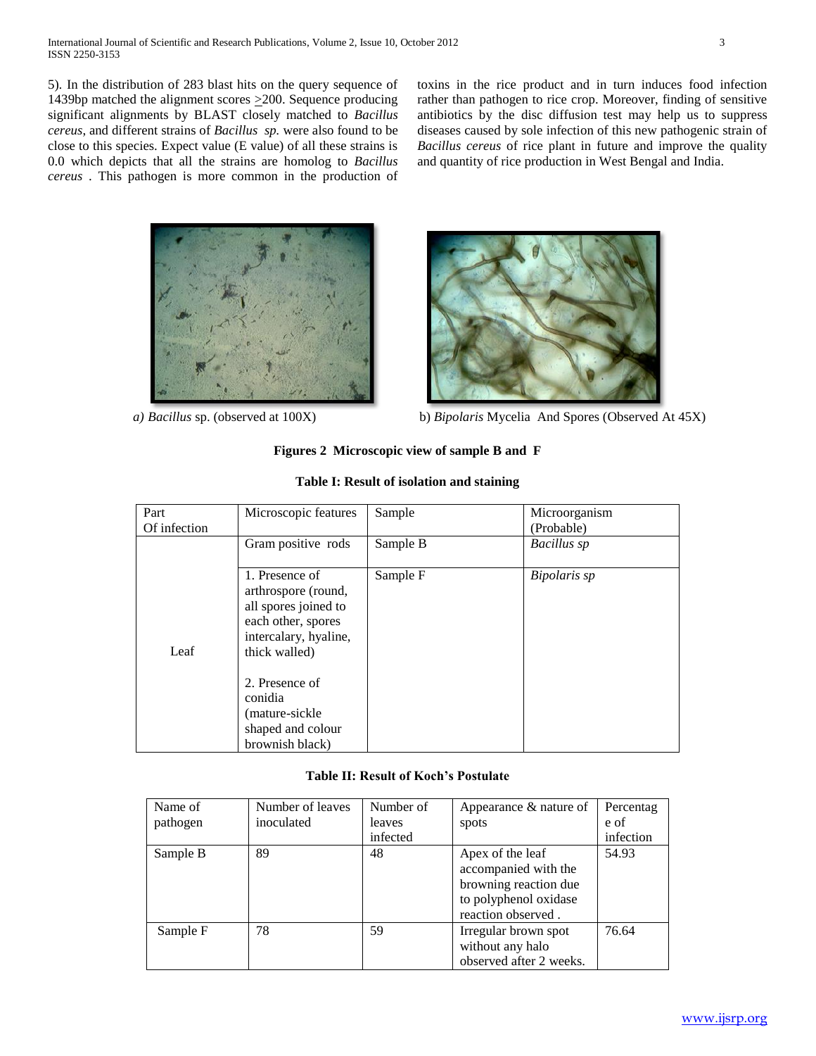5)*.* In the distribution of 283 blast hits on the query sequence of 1439bp matched the alignment scores  $\geq$ 200. Sequence producing significant alignments by BLAST closely matched to *Bacillus cereus*, and different strains of *Bacillus sp.* were also found to be close to this species. Expect value (E value) of all these strains is 0.0 which depicts that all the strains are homolog to *Bacillus cereus* . This pathogen is more common in the production of toxins in the rice product and in turn induces food infection rather than pathogen to rice crop. Moreover, finding of sensitive antibiotics by the disc diffusion test may help us to suppress diseases caused by sole infection of this new pathogenic strain of *Bacillus cereus* of rice plant in future and improve the quality and quantity of rice production in West Bengal and India.



(mature-sickle shaped and colour brownish black)



 *a) Bacillus* sp. (observed at 100X) b) *Bipolaris* Mycelia And Spores (Observed At 45X)

| Table 1: Result of isolation and staining |                                                                                                                               |          |               |  |
|-------------------------------------------|-------------------------------------------------------------------------------------------------------------------------------|----------|---------------|--|
| Part                                      | Microscopic features                                                                                                          | Sample   | Microorganism |  |
| Of infection                              |                                                                                                                               |          | (Probable)    |  |
|                                           | Gram positive rods                                                                                                            | Sample B | Bacillus sp   |  |
| Leaf                                      | 1. Presence of<br>arthrospore (round,<br>all spores joined to<br>each other, spores<br>intercalary, hyaline,<br>thick walled) | Sample F | Bipolaris sp  |  |
|                                           | 2. Presence of<br>conidia                                                                                                     |          |               |  |

## **Table I: Result of isolation and staining**

**Figures 2 Microscopic view of sample B and F**

## **Table II: Result of Koch's Postulate**

| Name of  | Number of leaves | Number of | Appearance & nature of                                                                                           | Percentag |
|----------|------------------|-----------|------------------------------------------------------------------------------------------------------------------|-----------|
| pathogen | inoculated       | leaves    | spots                                                                                                            | e of      |
|          |                  | infected  |                                                                                                                  | infection |
| Sample B | 89               | 48        | Apex of the leaf<br>accompanied with the<br>browning reaction due<br>to polyphenol oxidase<br>reaction observed. | 54.93     |
| Sample F | 78               | 59        | Irregular brown spot<br>without any halo<br>observed after 2 weeks.                                              | 76.64     |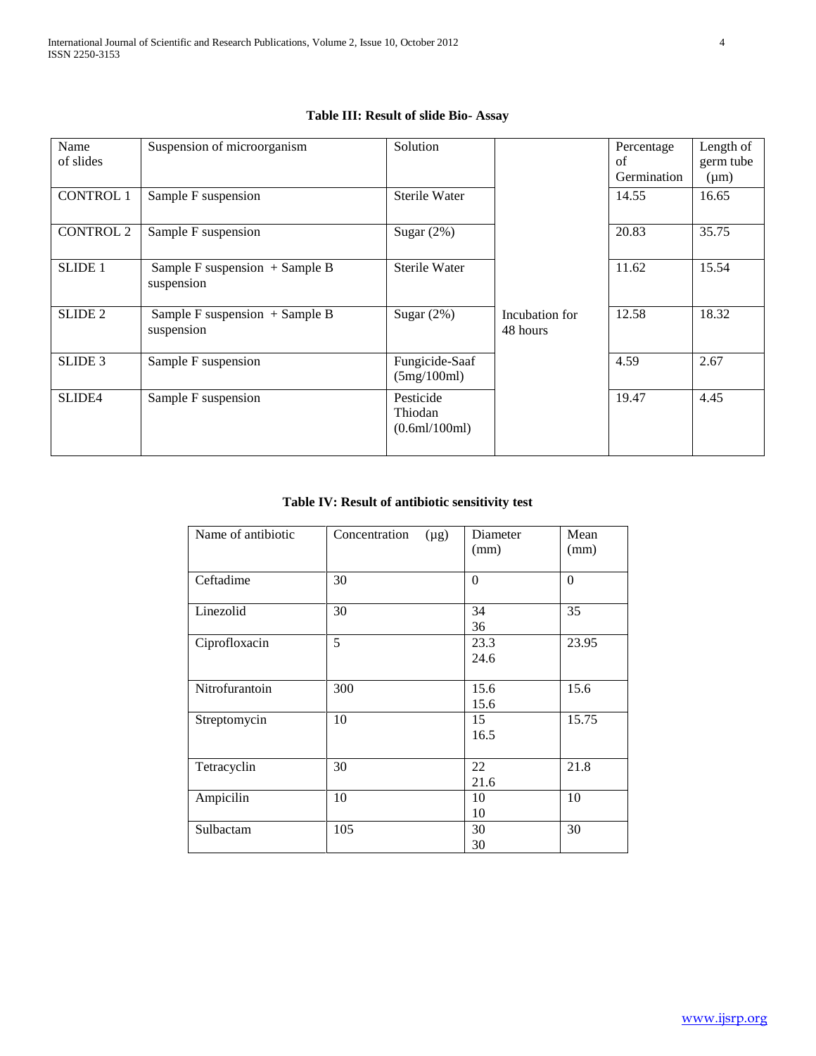## **Table III: Result of slide Bio- Assay**

| Name<br>of slides  | Suspension of microorganism                    | Solution                              |                            | Percentage<br>of<br>Germination | Length of<br>germ tube<br>$(\mu m)$ |
|--------------------|------------------------------------------------|---------------------------------------|----------------------------|---------------------------------|-------------------------------------|
| <b>CONTROL 1</b>   | Sample F suspension                            | Sterile Water                         |                            | 14.55                           | 16.65                               |
| <b>CONTROL 2</b>   | Sample F suspension                            | Sugar $(2%)$                          |                            | 20.83                           | 35.75                               |
| <b>SLIDE 1</b>     | Sample F suspension + Sample B<br>suspension   | Sterile Water                         |                            | 11.62                           | 15.54                               |
| <b>SLIDE 2</b>     | Sample F suspension $+$ Sample B<br>suspension | Sugar $(2%)$                          | Incubation for<br>48 hours | 12.58                           | 18.32                               |
| SLIDE <sub>3</sub> | Sample F suspension                            | Fungicide-Saaf<br>(5mg/100ml)         |                            | 4.59                            | 2.67                                |
| SLIDE4             | Sample F suspension                            | Pesticide<br>Thiodan<br>(0.6ml/100ml) |                            | 19.47                           | 4.45                                |

## **Table IV: Result of antibiotic sensitivity test**

| Name of antibiotic | Concentration<br>$(\mu g)$ | Diameter<br>(mm) | Mean<br>(mm) |
|--------------------|----------------------------|------------------|--------------|
| Ceftadime          | 30                         | $\theta$         | $\theta$     |
| Linezolid          | 30                         | 34<br>36         | 35           |
| Ciprofloxacin      | 5                          | 23.3<br>24.6     | 23.95        |
| Nitrofurantoin     | 300                        | 15.6<br>15.6     | 15.6         |
| Streptomycin       | 10                         | 15<br>16.5       | 15.75        |
| Tetracyclin        | 30                         | 22<br>21.6       | 21.8         |
| Ampicilin          | 10                         | 10<br>10         | 10           |
| Sulbactam          | 105                        | 30<br>30         | 30           |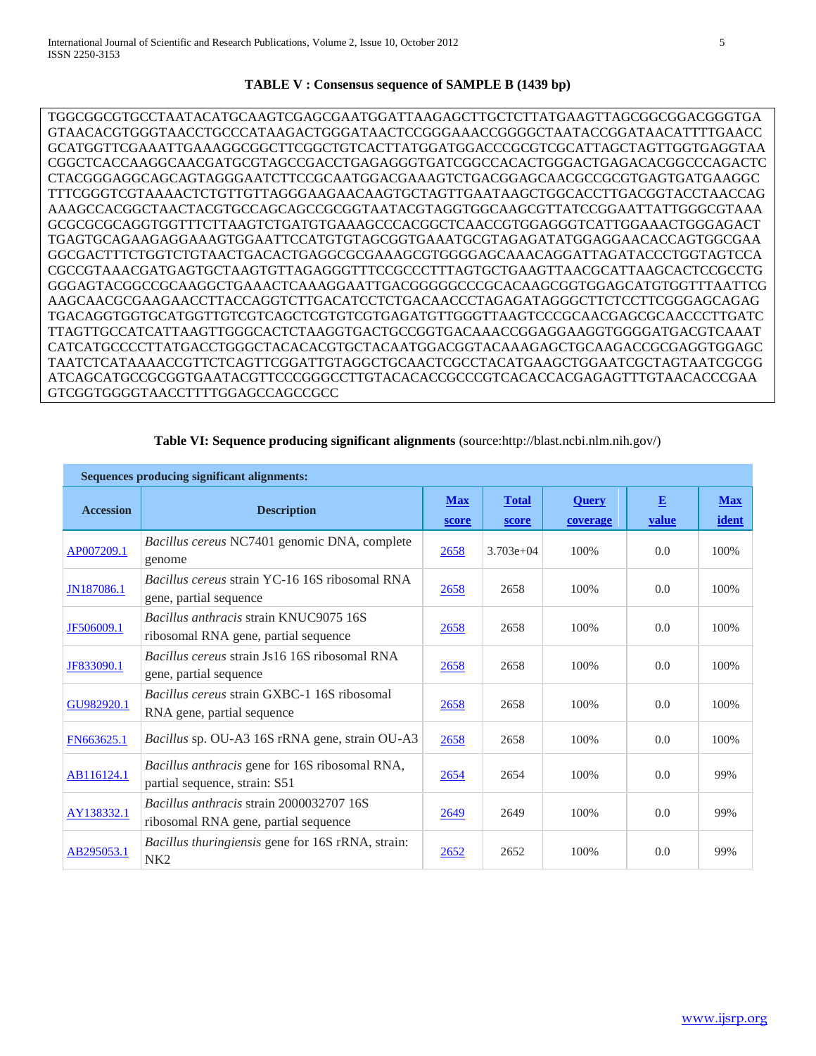## **TABLE V : Consensus sequence of SAMPLE B (1439 bp)**

TGGCGGCGTGCCTAATACATGCAAGTCGAGCGAATGGATTAAGAGCTTGCTCTTATGAAGTTAGCGGCGGACGGGTGA GTAACACGTGGGTAACCTGCCCATAAGACTGGGATAACTCCGGGAAACCGGGGCTAATACCGGATAACATTTTGAACC GCATGGTTCGAAATTGAAAGGCGGCTTCGGCTGTCACTTATGGATGGACCCGCGTCGCATTAGCTAGTTGGTGAGGTAA CGGCTCACCAAGGCAACGATGCGTAGCCGACCTGAGAGGGTGATCGGCCACACTGGGACTGAGACACGGCCCAGACTC CTACGGGAGGCAGCAGTAGGGAATCTTCCGCAATGGACGAAAGTCTGACGGAGCAACGCCGCGTGAGTGATGAAGGC TTTCGGGTCGTAAAACTCTGTTGTTAGGGAAGAACAAGTGCTAGTTGAATAAGCTGGCACCTTGACGGTACCTAACCAG AAAGCCACGGCTAACTACGTGCCAGCAGCCGCGGTAATACGTAGGTGGCAAGCGTTATCCGGAATTATTGGGCGTAAA GCGCGCGCAGGTGGTTTCTTAAGTCTGATGTGAAAGCCCACGGCTCAACCGTGGAGGGTCATTGGAAACTGGGAGACT TGAGTGCAGAAGAGGAAAGTGGAATTCCATGTGTAGCGGTGAAATGCGTAGAGATATGGAGGAACACCAGTGGCGAA GGCGACTTTCTGGTCTGTAACTGACACTGAGGCGCGAAAGCGTGGGGAGCAAACAGGATTAGATACCCTGGTAGTCCA CGCCGTAAACGATGAGTGCTAAGTGTTAGAGGGTTTCCGCCCTTTAGTGCTGAAGTTAACGCATTAAGCACTCCGCCTG GGGAGTACGGCCGCAAGGCTGAAACTCAAAGGAATTGACGGGGGCCCGCACAAGCGGTGGAGCATGTGGTTTAATTCG AAGCAACGCGAAGAACCTTACCAGGTCTTGACATCCTCTGACAACCCTAGAGATAGGGCTTCTCCTTCGGGAGCAGAG TGACAGGTGGTGCATGGTTGTCGTCAGCTCGTGTCGTGAGATGTTGGGTTAAGTCCCGCAACGAGCGCAACCCTTGATC TTAGTTGCCATCATTAAGTTGGGCACTCTAAGGTGACTGCCGGTGACAAACCGGAGGAAGGTGGGGATGACGTCAAAT CATCATGCCCCTTATGACCTGGGCTACACACGTGCTACAATGGACGGTACAAAGAGCTGCAAGACCGCGAGGTGGAGC TAATCTCATAAAACCGTTCTCAGTTCGGATTGTAGGCTGCAACTCGCCTACATGAAGCTGGAATCGCTAGTAATCGCGG ATCAGCATGCCGCGGTGAATACGTTCCCGGGCCTTGTACACACCGCCCGTCACACCACGAGAGTTTGTAACACCCGAA GTCGGTGGGGTAACCTTTTGGAGCCAGCCGCC

| Table VI: Sequence producing significant alignments (source:http://blast.ncbi.nlm.nih.gov/) |  |
|---------------------------------------------------------------------------------------------|--|
| s producino significant alignments:                                                         |  |

| <b>Sequences producing significant alignments:</b> |                                                                                       |                     |                       |                          |            |                     |
|----------------------------------------------------|---------------------------------------------------------------------------------------|---------------------|-----------------------|--------------------------|------------|---------------------|
| <b>Accession</b>                                   | <b>Description</b>                                                                    | <b>Max</b><br>score | <b>Total</b><br>score | <b>Query</b><br>coverage | E<br>value | <b>Max</b><br>ident |
| AP007209.1                                         | Bacillus cereus NC7401 genomic DNA, complete<br>genome                                | 2658                | $3.703e+04$           | 100%                     | 0.0        | 100%                |
| JN187086.1                                         | <i>Bacillus cereus strain YC-16 16S ribosomal RNA</i><br>gene, partial sequence       | 2658                | 2658                  | 100%                     | 0.0        | 100%                |
| JF506009.1                                         | <i>Bacillus anthracis strain KNUC9075 16S</i><br>ribosomal RNA gene, partial sequence | 2658                | 2658                  | 100%                     | 0.0        | 100%                |
| JF833090.1                                         | <i>Bacillus cereus strain Js16 16S ribosomal RNA</i><br>gene, partial sequence        | 2658                | 2658                  | 100%                     | 0.0        | 100%                |
| GU982920.1                                         | <i>Bacillus cereus</i> strain GXBC-1 16S ribosomal<br>RNA gene, partial sequence      | 2658                | 2658                  | 100%                     | 0.0        | 100%                |
| FN663625.1                                         | Bacillus sp. OU-A3 16S rRNA gene, strain OU-A3                                        | 2658                | 2658                  | 100%                     | 0.0        | 100%                |
| AB116124.1                                         | Bacillus anthracis gene for 16S ribosomal RNA,<br>partial sequence, strain: S51       | 2654                | 2654                  | 100%                     | 0.0        | 99%                 |
| AY138332.1                                         | Bacillus anthracis strain 2000032707 16S<br>ribosomal RNA gene, partial sequence      | 2649                | 2649                  | 100%                     | 0.0        | 99%                 |
| AB295053.1                                         | <i>Bacillus thuringiensis gene for 16S rRNA, strain:</i><br>NK <sub>2</sub>           | 2652                | 2652                  | 100%                     | 0.0        | 99%                 |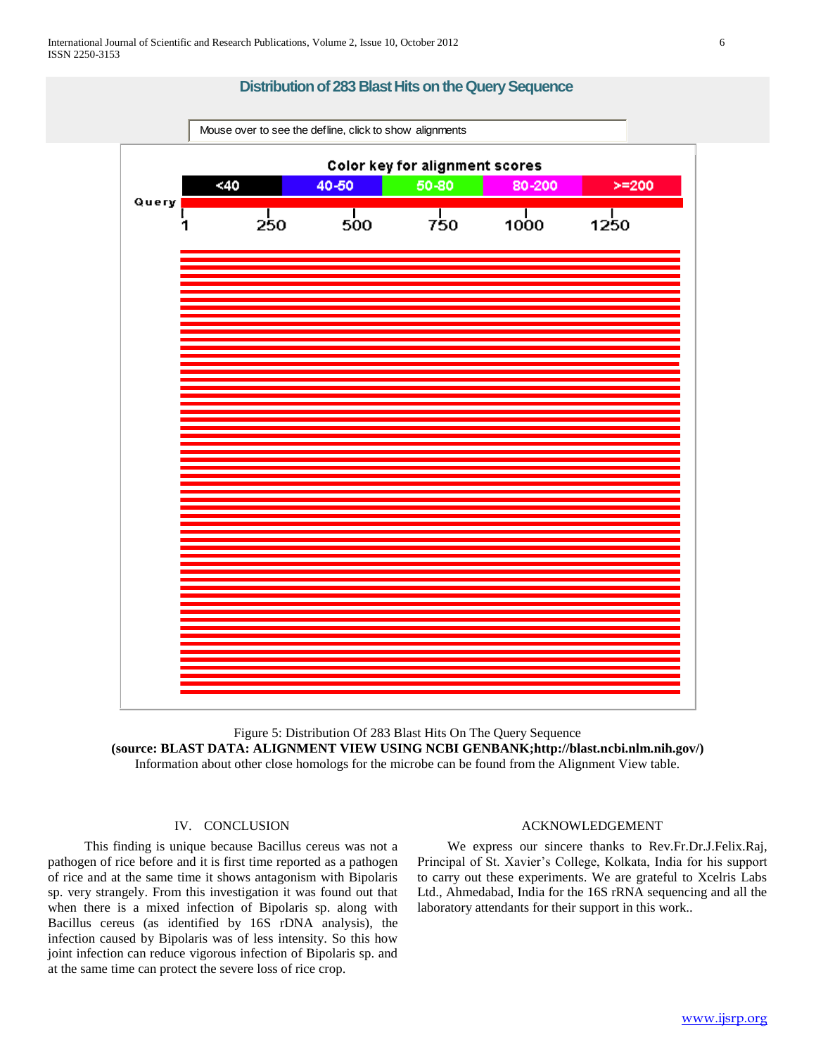# **Distribution of 283 Blast Hits on the Query Sequence** Mouse over to see the defline, click to show alignments Color key for alignment scores  $<sub>40</sub>$ </sub> 40-50 50-80 80-200  $>= 200$ Query Τ  $\top$  $\mathbf{I}$  $\mathbf{I}$ 250 500 750 1000 1250

Figure 5: Distribution Of 283 Blast Hits On The Query Sequence **(source: BLAST DATA: ALIGNMENT VIEW USING NCBI GENBANK;http://blast.ncbi.nlm.nih.gov/)**  Information about other close homologs for the microbe can be found from the Alignment View table.

## IV. CONCLUSION

 This finding is unique because Bacillus cereus was not a pathogen of rice before and it is first time reported as a pathogen of rice and at the same time it shows antagonism with Bipolaris sp. very strangely. From this investigation it was found out that when there is a mixed infection of Bipolaris sp. along with Bacillus cereus (as identified by 16S rDNA analysis), the infection caused by Bipolaris was of less intensity. So this how joint infection can reduce vigorous infection of Bipolaris sp. and at the same time can protect the severe loss of rice crop.

#### ACKNOWLEDGEMENT

 We express our sincere thanks to Rev.Fr.Dr.J.Felix.Raj, Principal of St. Xavier's College, Kolkata, India for his support to carry out these experiments. We are grateful to Xcelris Labs Ltd., Ahmedabad, India for the 16S rRNA sequencing and all the laboratory attendants for their support in this work..